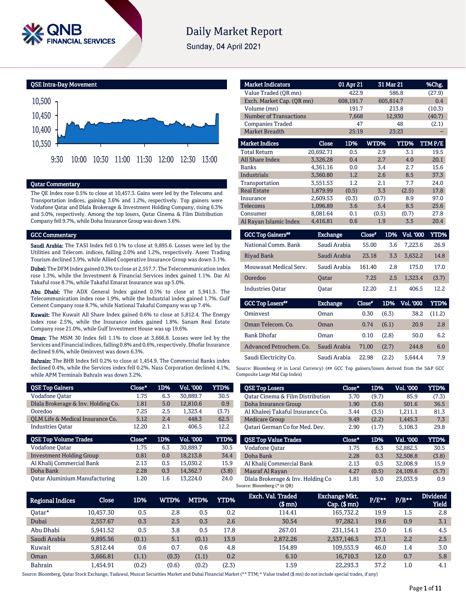

# **Daily Market Report**

Sunday, 04 April 2021

QSE Intra-Day Movement



## Qatar Commentary

The QE Index rose 0.5% to close at 10,457.3. Gains were led by the Telecoms and Transportation indices, gaining 3.6% and 1.2%, respectively. Top gainers were Vodafone Qatar and Dlala Brokerage & Investment Holding Company, rising 6.3% and 5.0%, respectively. Among the top losers, Qatar Cinema & Film Distribution Company fell 9.7%, while Doha Insurance Group was down 3.6%.

#### GCC Commentary

Saudi Arabia: The TASI Index fell 0.1% to close at 9,895.6. Losses were led by the Utilities and Telecom. indices, falling 2.0% and 1.2%, respectively. Aseer Trading Tourism declined 3.9%, while Allied Cooperative Insurance Group was down 3.1%.

Dubai: The DFM Index gained 0.3% to close at 2,557.7. The Telecommunication index rose 1.3%, while the Investment & Financial Services index gained 1.1%. Dar Al Takaful rose 8.7%, while Takaful Emarat Insurance was up 5.0%.

Abu Dhabi: The ADX General Index gained 0.5% to close at 5,941.5. The Telecommunication index rose 1.9%, while the Industrial index gained 1.7%. Gulf Cement Company rose 8.7%, while National Takaful Company was up 7.4%.

Kuwait: The Kuwait All Share Index gained 0.6% to close at 5,812.4. The Energy index rose 2.5%, while the Insurance index gained 1.8%. Sanam Real Estate Company rose 21.0%, while Gulf Investment House was up 19.6%.

Oman: The MSM 30 Index fell 1.1% to close at 3,666.8. Losses were led by the Services and Financial indices, falling 0.8% and 0.6%, respectively. Dhofar Insurance declined 9.6%, while Ominvest was down 6.3%.

Bahrain: The BHB Index fell 0.2% to close at 1,454.9. The Commercial Banks index declined 0.4%, while the Services index fell 0.2%. Nass Corporation declined 4.1%, while APM Terminals Bahrain was down 3.2%.

| <b>QSE Top Gainers</b>             | Close* | 1D% | <b>Vol. '000</b> | YTD%  |
|------------------------------------|--------|-----|------------------|-------|
| Vodafone Qatar                     | 1.75   | 6.3 | 30.889.7         | 30.5  |
| Dlala Brokerage & Inv. Holding Co. | 1.81   | 5.0 | 12.810.6         | 0.9   |
| Ooredoo                            | 7.25   | 2.5 | 1.323.4          | (3.7) |
| OLM Life & Medical Insurance Co.   | 5.12   | 2.4 | 448.3            | 62.5  |
| <b>Industries Oatar</b>            | 12.20  | 2.1 | 406.5            | 12.2  |
|                                    |        |     |                  |       |
| <b>QSE Top Volume Trades</b>       | Close* | 1D% | <b>Vol. '000</b> | YTD%  |
| Vodafone Qatar                     | 1.75   | 6.3 | 30.889.7         | 30.5  |
| <b>Investment Holding Group</b>    | 0.81   | 0.0 | 18.213.8         | 34.4  |
| Al Khalij Commercial Bank          | 2.13   | 0.5 | 15.030.2         | 15.9  |
| Doha Bank                          | 2.28   | 0.3 | 14.362.7         | (3.8) |

| <b>Market Indicators</b>             |                 | 01 Apr 21 |        | 31 Mar 21 | %Chg.                    |
|--------------------------------------|-----------------|-----------|--------|-----------|--------------------------|
| Value Traded (OR mn)                 |                 | 422.9     |        | 586.8     | (27.9)                   |
| Exch. Market Cap. (QR mn)            |                 | 608,191.7 |        | 605,814.7 | 0.4                      |
| Volume (mn)                          |                 | 191.7     |        | 213.8     | (10.3)                   |
| <b>Number of Transactions</b>        |                 | 7,668     |        | 12,930    | (40.7)                   |
| <b>Companies Traded</b>              |                 | 47        |        | 48        | (2.1)                    |
| <b>Market Breadth</b>                |                 | 25:19     |        | 23:23     |                          |
| <b>Market Indices</b>                | <b>Close</b>    | 1D%       | WTD%   | YTD%      | TTMP/E                   |
| <b>Total Return</b>                  | 20,692.71       | 0.5       | 2.9    | 3.1       | 19.5                     |
| <b>All Share Index</b>               | 3,326.28        | 0.4       | 2.7    | 4.0       | 20.1                     |
| <b>Banks</b>                         | 4,361.16        | 0.0       | 3.4    | 2.7       | 15.6                     |
| <b>Industrials</b>                   | 3.360.80        | 1.2       | 2.6    | 8.5       | 37.3                     |
| Transportation                       | 3,551.53        | 1.2       | 2.1    | 7.7       | 24.0                     |
| <b>Real Estate</b>                   | 1,879.99        | (0.5)     | 3.3    | (2.5)     | 17.8                     |
| Insurance                            | 2,609.53        | (0.3)     | (0.7)  | 8.9       | 97.0                     |
| Telecoms                             | 1,096.89        | 3.6       | 5.4    | 8.5       | 25.6                     |
| Consumer                             | 8,081.64        | 0.1       | (0.5)  | (0.7)     | 27.8                     |
| Al Rayan Islamic Index               | 4,416.81        | 0.6       | 1.9    | 3.5       | 20.4                     |
| <b>GCC Top Gainers</b> <sup>##</sup> | <b>Exchange</b> |           | Close" | 1D%       | Vol. '000<br><b>YTD%</b> |
| National Comm. Bank                  | Saudi Arabia    |           | 55.00  | 3.6       | 7,223.6<br>26.9          |

|              |              |       |         | 26.9        |
|--------------|--------------|-------|---------|-------------|
| Saudi Arabia | 23.18        | 3.3   | 3.632.2 | 14.8        |
| Saudi Arabia | 161.40       | 2.8   | 175.0   | 17.0        |
| <b>Oatar</b> | 7.25         | 2.5   | 1.323.4 | (3.7)       |
| Oatar        | 12.20        | 2.1   | 406.5   | 12.2        |
|              | Saudi Arabia | 55.00 |         | 3.6 7.223.6 |

| <b>GCC Top Losers</b>   | <b>Exchange</b> | Close" |       | 1D% Vol. 000 | YTD%   |
|-------------------------|-----------------|--------|-------|--------------|--------|
| Ominyest                | Oman            | 0.30   | (6.3) | 38.2         | (11.2) |
| Oman Telecom, Co.       | Oman            | 0.74   | (6.1) | 20.9         | 2.8    |
| <b>Bank Dhofar</b>      | Oman            | 0.10   | (2.8) | 50.0         | 6.2    |
| Advanced Petrochem, Co. | Saudi Arabia    | 71.00  | (2.7) | 244.8        | 6.0    |
| Saudi Electricity Co.   | Saudi Arabia    | 22.98  | (2.2) | 5.644.4      | 7.9    |

Source: Bloomberg (# in Local Currency) (## GCC Top gainers/losers derived from the S&P GCC Composite Large Mid Cap Index)

| Close* | 1D%   | Vol. '000 | YTD%  |
|--------|-------|-----------|-------|
| 3.70   | (9.7) | 85.9      | (7.3) |
| 1.90   | (3.6) | 501.6     | 36.5  |
| 3.44   | (3.5) | 1,211.1   | 81.3  |
| 9.49   | (2.2) | 1.445.3   | 7.3   |
| 2.90   | (1.7) | 5.108.3   | 29.8  |
|        |       |           |       |
| Close* | 1D%   | Val. '000 | YTD%  |
| 1.75   | 6.3   | 52,882.5  | 30.5  |
| 2.28   | 0.3   | 32.508.8  | (3.8) |
| 2.13   | 0.5   | 32,008.9  | 15.9  |
| 4.27   | (0.5) | 24.109.6  | (5.7) |
|        |       |           |       |

| <b>Regional Indices</b> | Close     | 1D%   | WTD%  | MTD%  | YTD%  | Exch. Val. Traded<br>$$$ mm $)$ | Exchange Mkt.'<br>$Cap.$ (\$ mn) | $P/E***$ | $P/B**$ | <b>Dividend</b><br><b>Yield</b> |
|-------------------------|-----------|-------|-------|-------|-------|---------------------------------|----------------------------------|----------|---------|---------------------------------|
| Oatar*                  | 10.457.30 | 0.5   | 2.8   | 0.5   | 0.2   | 114.41                          | 165,732.2                        | 19.9     | 1.5     | 2.8                             |
| Dubai                   | 2.557.67  | 0.3   | 2.5   | 0.3   | 2.6   | 30.54                           | 97.282.1                         | 19.6     | 0.9     | 3.1                             |
| Abu Dhabi               | 5.941.52  | 0.5   | 3.8   | 0.5   | 17.8  | 267.01                          | 231.154.1                        | 23.0     | 1.6     | 4.5                             |
| Saudi Arabia            | 9,895.56  | (0.1) | 5.1   | (0.1) | 13.9  | 2.872.26                        | 2,537,146.5                      | 37.1     | 2.2     | 2.5                             |
| Kuwait                  | 5.812.44  | 0.6   | 0.7   | 0.6   | 4.8   | 154.89                          | 109.553.9                        | 46.0     | 1.4     | 3.0                             |
| Oman                    | 3.666.81  | (1.1) | (0.3) | (1.1) | 0.2   | 6.10                            | 16.710.3                         | 12.0     | 0.7     | 5.8                             |
| <b>Bahrain</b>          | 1.454.91  | (0.2) | (0.6) | (0.2) | (2.3) | 1.59                            | 22.293.3                         | 37.2     | $1.0\,$ | 4.1                             |

Source: Bloomberg, Qatar Stock Exchange, Tadawul, Muscat Securities Market and Dubai Financial Market (\*\* TTM; \* Value traded (\$ mn) do not include special trades, if any)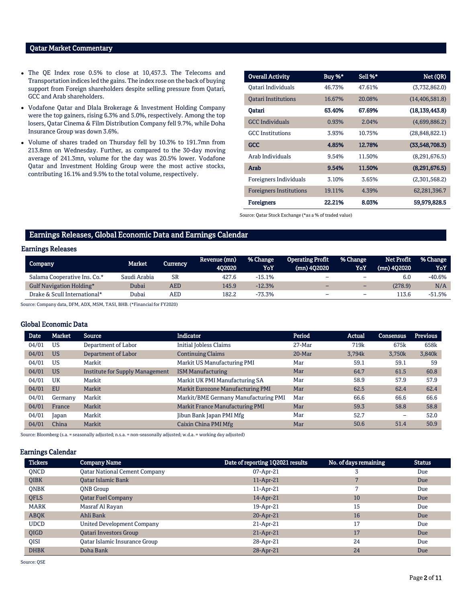## Qatar Market Commentary

- The QE Index rose 0.5% to close at 10,457.3. The Telecoms and Transportation indices led the gains. The index rose on the back of buying support from Foreign shareholders despite selling pressure from Qatari, GCC and Arab shareholders.
- Vodafone Qatar and Dlala Brokerage & Investment Holding Company were the top gainers, rising 6.3% and 5.0%, respectively. Among the top losers, Qatar Cinema & Film Distribution Company fell 9.7%, while Doha Insurance Group was down 3.6%.
- Volume of shares traded on Thursday fell by 10.3% to 191.7mn from 213.8mn on Wednesday. Further, as compared to the 30-day moving average of 241.3mn, volume for the day was 20.5% lower. Vodafone Qatar and Investment Holding Group were the most active stocks, contributing 16.1% and 9.5% to the total volume, respectively.

| <b>Overall Activity</b>        | Buy %* | Sell %* | Net (QR)         |
|--------------------------------|--------|---------|------------------|
| Oatari Individuals             | 46.73% | 47.61%  | (3,732,862.0)    |
| <b>Oatari Institutions</b>     | 16.67% | 20.08%  | (14, 406, 581.8) |
| Oatari                         | 63.40% | 67.69%  | (18, 139, 443.8) |
| <b>GCC</b> Individuals         | 0.93%  | 2.04%   | (4,699,886.2)    |
| <b>GCC</b> Institutions        | 3.93%  | 10.75%  | (28, 848, 822.1) |
| <b>GCC</b>                     | 4.85%  | 12.78%  | (33,548,708.3)   |
| Arab Individuals               | 9.54%  | 11.50%  | (8,291,676.5)    |
| Arab                           | 9.54%  | 11.50%  | (8,291,676.5)    |
| Foreigners Individuals         | 3.10%  | 3.65%   | (2,301,568.2)    |
| <b>Foreigners Institutions</b> | 19.11% | 4.39%   | 62,281,396.7     |
| <b>Foreigners</b>              | 22.21% | 8.03%   | 59,979,828.5     |

Source: Qatar Stock Exchange (\*as a % of traded value)

## Earnings Releases, Global Economic Data and Earnings Calendar

### Earnings Releases

| Company                      | Market       | Currency  | Revenue (mn)<br>402020 | % Change<br>YoY | <b>Operating Profit</b><br>$(mn)$ 402020 | % Change<br>YoY          | Net Profit<br>$(mn)$ 402020 | % Change<br>YoY |
|------------------------------|--------------|-----------|------------------------|-----------------|------------------------------------------|--------------------------|-----------------------------|-----------------|
| Salama Cooperative Ins. Co.* | Saudi Arabia | <b>SR</b> | 427.6                  | $-15.1%$        | -                                        | -                        | 6.0                         | $-40.6%$        |
| Gulf Navigation Holding*     | Dubai        | AED       | 145.9                  | $-12.3%$        | -                                        | $\overline{\phantom{0}}$ | (278.9)                     | N/A             |
| Drake & Scull International* | Dubai        | AED       | 182.2                  | $-73.3%$        | -                                        | -                        | 13.6                        | $-51.5%$        |

Source: Company data, DFM, ADX, MSM, TASI, BHB. (\*Financial for FY2020)

## Global Economic Data

| <b>Date</b> | <b>Market</b> | <b>Source</b>                          | <b>Indicator</b>                       | Period   | <b>Actual</b> | Consensus | <b>Previous</b> |
|-------------|---------------|----------------------------------------|----------------------------------------|----------|---------------|-----------|-----------------|
| 04/01       | US            | Department of Labor                    | <b>Initial Jobless Claims</b>          | $27-Mar$ | 719k          | 675k      | 658k            |
| 04/01       | <b>US</b>     | Department of Labor                    | <b>Continuing Claims</b>               | $20-Mar$ | 3.794k        | 3,750k    | 3,840k          |
| 04/01       | <b>US</b>     | Markit                                 | Markit US Manufacturing PMI            | Mar      | 59.1          | 59.1      | 59              |
| 04/01       | <b>US</b>     | <b>Institute for Supply Management</b> | <b>ISM Manufacturing</b>               | Mar      | 64.7          | 61.5      | 60.8            |
| 04/01       | UK            | Markit                                 | Markit UK PMI Manufacturing SA         | Mar      | 58.9          | 57.9      | 57.9            |
| 04/01       | EU            | Markit                                 | Markit Eurozone Manufacturing PMI      | Mar      | 62.5          | 62.4      | 62.4            |
| 04/01       | Germany       | Markit                                 | Markit/BME Germany Manufacturing PMI   | Mar      | 66.6          | 66.6      | 66.6            |
| 04/01       | France        | Markit                                 | <b>Markit France Manufacturing PMI</b> | Mar      | 59.3          | 58.8      | 58.8            |
| 04/01       | Japan         | Markit                                 | Jibun Bank Japan PMI Mfg               | Mar      | 52.7          | -         | 52.0            |
| 04/01       | China         | Markit                                 | Caixin China PMI Mfg                   | Mar      | 50.6          | 51.4      | 50.9            |

Source: Bloomberg (s.a. = seasonally adjusted; n.s.a. = non-seasonally adjusted; w.d.a. = working day adjusted)

### Earnings Calendar

| <b>Tickers</b> | <b>Company Name</b>           | Date of reporting 1Q2021 results | No. of days remaining | <b>Status</b> |
|----------------|-------------------------------|----------------------------------|-----------------------|---------------|
| <b>ONCD</b>    | Oatar National Cement Company | 07-Apr-21                        | 3                     | Due           |
| <b>OIBK</b>    | <b>Oatar Islamic Bank</b>     | $11$ -Apr-21                     |                       | Due           |
| <b>ONBK</b>    | ONB Group                     | 11-Apr-21                        | 7                     | Due           |
| <b>OFLS</b>    | <b>Qatar Fuel Company</b>     | 14-Apr-21                        | 10                    | Due           |
| <b>MARK</b>    | Masraf Al Rayan               | 19-Apr-21                        | 15                    | Due           |
| <b>ABOK</b>    | Ahli Bank                     | 20-Apr-21                        | 16                    | Due           |
| <b>UDCD</b>    | United Development Company    | $21$ -Apr-21                     | 17                    | Due           |
| <b>OIGD</b>    | Qatari Investors Group        | $21$ -Apr-21                     | 17                    | Due           |
| <b>OISI</b>    | Oatar Islamic Insurance Group | 28-Apr-21                        | 24                    | Due           |
| <b>DHBK</b>    | Doha Bank                     | 28-Apr-21                        | 24                    | Due           |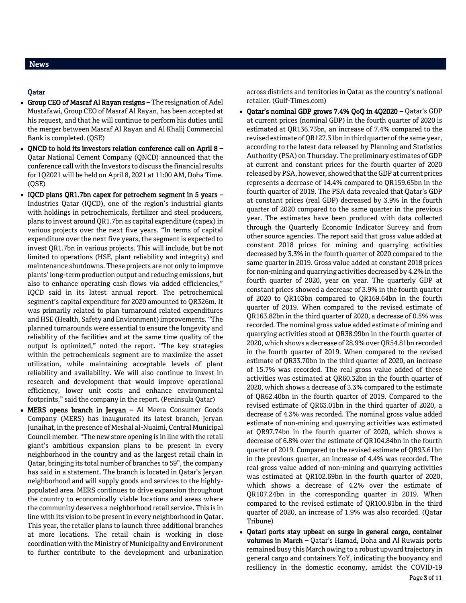## Qatar

- Group CEO of Masraf Al Rayan resigns The resignation of Adel Mustafawi, Group CEO of Masraf Al Rayan, has been accepted at his request, and that he will continue to perform his duties until the merger between Masraf Al Rayan and Al Khalij Commercial Bank is completed. (QSE)
- $\bullet$  ONCD to hold its investors relation conference call on April 8 Qatar National Cement Company (QNCD) announced that the conference call with the Investors to discuss the financial results for 1Q2021 will be held on April 8, 2021 at 11:00 AM, Doha Time. (QSE)
- IQCD plans QR1.7bn capex for petrochem segment in 5 years Industries Qatar (IQCD), one of the region's industrial giants with holdings in petrochemicals, fertilizer and steel producers, plans to invest around QR1.7bn as capital expenditure (capex) in various projects over the next five years. "In terms of capital expenditure over the next five years, the segment is expected to invest QR1.7bn in various projects. This will include, but be not limited to operations (HSE, plant reliability and integrity) and maintenance shutdowns. These projects are not only to improve plants' long-term production output and reducing emissions, but also to enhance operating cash flows via added efficiencies," IQCD said in its latest annual report. The petrochemical segment's capital expenditure for 2020 amounted to QR326m. It was primarily related to plan turnaround related expenditures and HSE (Health, Safety and Environment) improvements. "The planned turnarounds were essential to ensure the longevity and reliability of the facilities and at the same time quality of the output is optimized," noted the report. "The key strategies within the petrochemicals segment are to maximize the asset utilization, while maintaining acceptable levels of plant reliability and availability. We will also continue to invest in research and development that would improve operational efficiency, lower unit costs and enhance environmental footprints," said the company in the report. (Peninsula Qatar)
- MERS opens branch in Jeryan Al Meera Consumer Goods Company (MERS) has inaugurated its latest branch, Jeryan Junaihat, in the presence of Meshal al-Nuaimi, Central Municipal Council member. "The new store opening is in line with the retail giant's ambitious expansion plans to be present in every neighborhood in the country and as the largest retail chain in Qatar, bringing its total number of branches to 59", the company has said in a statement. The branch is located in Qatar's Jeryan neighborhood and will supply goods and services to the highlypopulated area. MERS continues to drive expansion throughout the country to economically viable locations and areas where the community deserves a neighborhood retail service. This is in line with its vision to be present in every neighborhood in Qatar. This year, the retailer plans to launch three additional branches at more locations. The retail chain is working in close coordination with the Ministry of Municipality and Environment to further contribute to the development and urbanization

across districts and territories in Qatar as the country's national retailer. (Gulf-Times.com)

- Qatar's nominal GDP grows 7.4% QoQ in 4Q2020 Qatar's GDP at current prices (nominal GDP) in the fourth quarter of 2020 is estimated at QR136.73bn, an increase of 7.4% compared to the revised estimate of QR127.31bn in third quarter of the same year, according to the latest data released by Planning and Statistics Authority (PSA) on Thursday. The preliminary estimates of GDP at current and constant prices for the fourth quarter of 2020 released by PSA, however, showed that the GDP at current prices represents a decrease of 14.4% compared to QR159.65bn in the fourth quarter of 2019. The PSA data revealed that Qatar's GDP at constant prices (real GDP) decreased by 3.9% in the fourth quarter of 2020 compared to the same quarter in the previous year. The estimates have been produced with data collected through the Quarterly Economic Indicator Survey and from other source agencies. The report said that gross value added at constant 2018 prices for mining and quarrying activities decreased by 3.3% in the fourth quarter of 2020 compared to the same quarter in 2019. Gross value added at constant 2018 prices for non-mining and quarrying activities decreased by 4.2% in the fourth quarter of 2020, year on year. The quarterly GDP at constant prices showed a decrease of 3.9% in the fourth quarter of 2020 to QR163bn compared to QR169.64bn in the fourth quarter of 2019. When compared to the revised estimate of QR163.82bn in the third quarter of 2020, a decrease of 0.5% was recorded. The nominal gross value added estimate of mining and quarrying activities stood at QR38.99bn in the fourth quarter of 2020, which shows a decrease of 28.9% over QR54.81bn recorded in the fourth quarter of 2019. When compared to the revised estimate of QR33.70bn in the third quarter of 2020, an increase of 15.7% was recorded. The real gross value added of these activities was estimated at QR60.32bn in the fourth quarter of 2020, which shows a decrease of 3.3% compared to the estimate of QR62.40bn in the fourth quarter of 2019. Compared to the revised estimate of QR63.01bn in the third quarter of 2020, a decrease of 4.3% was recorded. The nominal gross value added estimate of non-mining and quarrying activities was estimated at QR97.74bn in the fourth quarter of 2020, which shows a decrease of 6.8% over the estimate of QR104.84bn in the fourth quarter of 2019. Compared to the revised estimate of QR93.61bn in the previous quarter, an increase of 4.4% was recorded. The real gross value added of non-mining and quarrying activities was estimated at QR102.69bn in the fourth quarter of 2020, which shows a decrease of 4.2% over the estimate of QR107.24bn in the corresponding quarter in 2019. When compared to the revised estimate of QR100.81bn in the third quarter of 2020, an increase of 1.9% was also recorded. (Qatar Tribune)
- Qatari ports stay upbeat on surge in general cargo, container volumes in March – Qatar's Hamad, Doha and Al Ruwais ports remained busy this March owing to a robust upward trajectory in general cargo and containers YoY, indicating the buoyancy and resiliency in the domestic economy, amidst the COVID-19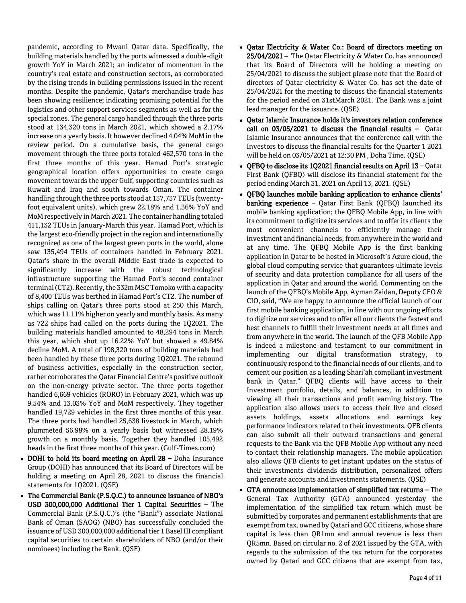pandemic, according to Mwani Qatar data. Specifically, the building materials handled by the ports witnessed a double-digit growth YoY in March 2021; an indicator of momentum in the country's real estate and construction sectors, as corroborated by the rising trends in building permissions issued in the recent months. Despite the pandemic, Qatar's merchandise trade has been showing resilience; indicating promising potential for the logistics and other support services segments as well as for the special zones. The general cargo handled through the three ports stood at 134,320 tons in March 2021, which showed a 2.17% increase on a yearly basis. It however declined 4.04% MoM in the review period. On a cumulative basis, the general cargo movement through the three ports totaled 462,570 tons in the first three months of this year. Hamad Port's strategic geographical location offers opportunities to create cargo movement towards the upper Gulf, supporting countries such as Kuwait and Iraq and south towards Oman. The container handling through the three ports stood at 137,737 TEUs (twentyfoot equivalent units), which grew 22.18% and 1.36% YoY and MoM respectively in March 2021. The container handling totaled 411,132 TEUs in January-March this year. Hamad Port, which is the largest eco-friendly project in the region and internationally recognized as one of the largest green ports in the world, alone saw 135,494 TEUs of containers handled in February 2021. Qatar's share in the overall Middle East trade is expected to significantly increase with the robust technological infrastructure supporting the Hamad Port's second container terminal (CT2). Recently, the 332m MSC Tomoko with a capacity of 8,400 TEUs was berthed in Hamad Port's CT2. The number of ships calling on Qatar's three ports stood at 250 this March, which was 11.11% higher on yearly and monthly basis. As many as 722 ships had called on the ports during the 1Q2021. The building materials handled amounted to 48,294 tons in March this year, which shot up 16.22% YoY but showed a 49.84% decline MoM. A total of 198,320 tons of building materials had been handled by these three ports during 1Q2021. The rebound of business activities, especially in the construction sector, rather corroborates the Qatar Financial Centre's positive outlook on the non-energy private sector. The three ports together handled 6,669 vehicles (RORO) in February 2021, which was up 9.54% and 13.03% YoY and MoM respectively. They together handled 19,729 vehicles in the first three months of this year. The three ports had handled 25,638 livestock in March, which plummeted 56.98% on a yearly basis but witnessed 28.19% growth on a monthly basis. Together they handled 105,492 heads in the first three months of this year. (Gulf-Times.com)

- DOHI to hold its board meeting on April 28 Doha Insurance Group (DOHI) has announced that its Board of Directors will be holding a meeting on April 28, 2021 to discuss the financial statements for 1Q2021. (QSE)
- The Commercial Bank (P.S.Q.C.) to announce issuance of NBO's USD 300,000,000 Additional Tier 1 Capital Securities – The Commercial Bank (P.S.Q.C.)'s (the "Bank") associate National Bank of Oman (SAOG) (NBO) has successfully concluded the issuance of USD 300,000,000 additional tier 1 Basel III compliant capital securities to certain shareholders of NBO (and/or their nominees) including the Bank. (QSE)
- Qatar Electricity & Water Co.: Board of directors meeting on 25/04/2021 – The Qatar Electricity & Water Co. has announced that its Board of Directors will be holding a meeting on 25/04/2021 to discuss the subject please note that the Board of directors of Qatar electricity & Water Co. has set the date of 25/04/2021 for the meeting to discuss the financial statements for the period ended on 31stMarch 2021. The Bank was a joint lead manager for the issuance. (QSE)
- Qatar Islamic Insurance holds it's investors relation conference call on 03/05/2021 to discuss the financial results – Qatar Islamic Insurance announces that the conference call with the Investors to discuss the financial results for the Quarter 1 2021 will be held on 03/05/2021 at 12:30 PM , Doha Time. (QSE)
- QFBQ to disclose its 1Q2021 financial results on April 13 Qatar First Bank (QFBQ) will disclose its financial statement for the period ending March 31, 2021 on April 13, 2021. (QSE)
- QFBQ launches mobile banking application to enhance clients' banking experience - Qatar First Bank (QFBQ) launched its mobile banking application; the QFBQ Mobile App, in line with its commitment to digitize its services and to offer its clients the most convenient channels to efficiently manage their investment and financial needs, from anywhere in the world and at any time. The QFBQ Mobile App is the first banking application in Qatar to be hosted in Microsoft's Azure cloud, the global cloud computing service that guarantees ultimate levels of security and data protection compliance for all users of the application in Qatar and around the world. Commenting on the launch of the QFBQ's Mobile App, Ayman Zaidan, Deputy CEO & CIO, said, "We are happy to announce the official launch of our first mobile banking application, in line with our ongoing efforts to digitize our services and to offer all our clients the fastest and best channels to fulfill their investment needs at all times and from anywhere in the world. The launch of the QFB Mobile App is indeed a milestone and testament to our commitment in implementing our digital transformation strategy, to continuously respond to the financial needs of our clients, and to cement our position as a leading Shari'ah compliant investment bank in Qatar." QFBQ clients will have access to their Investment portfolio, details, and balances, in addition to viewing all their transactions and profit earning history. The application also allows users to access their live and closed assets holdings, assets allocations and earnings key performance indicators related to their investments. QFB clients can also submit all their outward transactions and general requests to the Bank via the QFB Mobile App without any need to contact their relationship managers. The mobile application also allows QFB clients to get instant updates on the status of their investments dividends distribution, personalized offers and generate accounts and investments statements. (QSE)
- GTA announces implementation of simplified tax returns The General Tax Authority (GTA) announced yesterday the implementation of the simplified tax return which must be submitted by corporates and permanent establishments that are exempt from tax, owned by Qatari and GCC citizens, whose share capital is less than QR1mn and annual revenue is less than QR5mn. Based on circular no. 2 of 2021 issued by the GTA, with regards to the submission of the tax return for the corporates owned by Qatari and GCC citizens that are exempt from tax,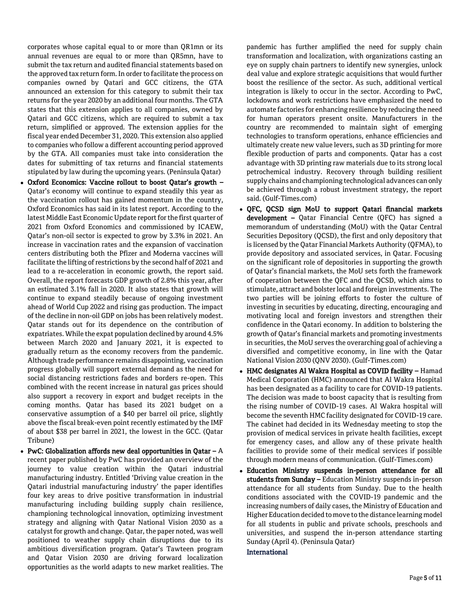corporates whose capital equal to or more than QR1mn or its annual revenues are equal to or more than QR5mn, have to submit the tax return and audited financial statements based on the approved tax return form. In order to facilitate the process on companies owned by Qatari and GCC citizens, the GTA announced an extension for this category to submit their tax returns for the year 2020 by an additional four months. The GTA states that this extension applies to all companies, owned by Qatari and GCC citizens, which are required to submit a tax return, simplified or approved. The extension applies for the fiscal year ended December 31, 2020. This extension also applied to companies who follow a different accounting period approved by the GTA. All companies must take into consideration the dates for submitting of tax returns and financial statements stipulated by law during the upcoming years. (Peninsula Qatar)

- Oxford Economics: Vaccine rollout to boost Qatar's growth Qatar's economy will continue to expand steadily this year as the vaccination rollout has gained momentum in the country, Oxford Economics has said in its latest report. According to the latest Middle East Economic Update report for the first quarter of 2021 from Oxford Economics and commissioned by ICAEW, Qatar's non-oil sector is expected to grow by 3.3% in 2021. An increase in vaccination rates and the expansion of vaccination centers distributing both the Pfizer and Moderna vaccines will facilitate the lifting of restrictions by the second half of 2021 and lead to a re-acceleration in economic growth, the report said. Overall, the report forecasts GDP growth of 2.8% this year, after an estimated 3.1% fall in 2020. It also states that growth will continue to expand steadily because of ongoing investment ahead of World Cup 2022 and rising gas production. The impact of the decline in non-oil GDP on jobs has been relatively modest. Qatar stands out for its dependence on the contribution of expatriates. While the expat population declined by around 4.5% between March 2020 and January 2021, it is expected to gradually return as the economy recovers from the pandemic. Although trade performance remains disappointing, vaccination progress globally will support external demand as the need for social distancing restrictions fades and borders re-open. This combined with the recent increase in natural gas prices should also support a recovery in export and budget receipts in the coming months. Qatar has based its 2021 budget on a conservative assumption of a \$40 per barrel oil price, slightly above the fiscal break-even point recently estimated by the IMF of about \$38 per barrel in 2021, the lowest in the GCC. (Qatar Tribune)
- PwC: Globalization affords new deal opportunities in Qatar  $-A$ recent paper published by PwC has provided an overview of the journey to value creation within the Qatari industrial manufacturing industry. Entitled 'Driving value creation in the Qatari industrial manufacturing industry' the paper identifies four key areas to drive positive transformation in industrial manufacturing including building supply chain resilience, championing technological innovation, optimizing investment strategy and aligning with Qatar National Vision 2030 as a catalyst for growth and change. Qatar, the paper noted, was well positioned to weather supply chain disruptions due to its ambitious diversification program. Qatar's Tawteen program and Qatar Vision 2030 are driving forward localization opportunities as the world adapts to new market realities. The

pandemic has further amplified the need for supply chain transformation and localization, with organizations casting an eye on supply chain partners to identify new synergies, unlock deal value and explore strategic acquisitions that would further boost the resilience of the sector. As such, additional vertical integration is likely to occur in the sector. According to PwC, lockdowns and work restrictions have emphasized the need to automate factories for enhancing resilience by reducing the need for human operators present onsite. Manufacturers in the country are recommended to maintain sight of emerging technologies to transform operations, enhance efficiencies and ultimately create new value levers, such as 3D printing for more flexible production of parts and components. Qatar has a cost advantage with 3D printing raw materials due to its strong local petrochemical industry. Recovery through building resilient supply chains and championing technological advances can only be achieved through a robust investment strategy, the report said. (Gulf-Times.com)

- QFC, QCSD sign MoU to support Qatari financial markets development - Qatar Financial Centre (QFC) has signed a memorandum of understanding (MoU) with the Qatar Central Securities Depository (QCSD), the first and only depository that is licensed by the Qatar Financial Markets Authority (QFMA), to provide depository and associated services, in Qatar. Focusing on the significant role of depositories in supporting the growth of Qatar's financial markets, the MoU sets forth the framework of cooperation between the QFC and the QCSD, which aims to stimulate, attract and bolster local and foreign investments. The two parties will be joining efforts to foster the culture of investing in securities by educating, directing, encouraging and motivating local and foreign investors and strengthen their confidence in the Qatari economy. In addition to bolstering the growth of Qatar's financial markets and promoting investments in securities, the MoU serves the overarching goal of achieving a diversified and competitive economy, in line with the Qatar National Vision 2030 (QNV 2030). (Gulf-Times.com)
- HMC designates Al Wakra Hospital as COVID facility Hamad Medical Corporation (HMC) announced that Al Wakra Hospital has been designated as a facility to care for COVID-19 patients. The decision was made to boost capacity that is resulting from the rising number of COVID-19 cases. Al Wakra hospital will become the seventh HMC facility designated for COVID-19 care. The cabinet had decided in its Wednesday meeting to stop the provision of medical services in private health facilities, except for emergency cases, and allow any of these private health facilities to provide some of their medical services if possible through modern means of communication. (Gulf-Times.com)
- Education Ministry suspends in-person attendance for all students from Sunday - Education Ministry suspends in-person attendance for all students from Sunday. Due to the health conditions associated with the COVID-19 pandemic and the increasing numbers of daily cases, the Ministry of Education and Higher Education decided to move to the distance learning model for all students in public and private schools, preschools and universities, and suspend the in-person attendance starting Sunday (April 4). (Peninsula Qatar)

## **International**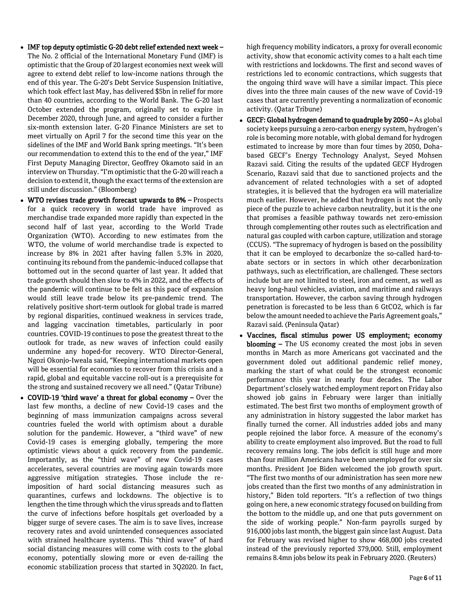- IMF top deputy optimistic G-20 debt relief extended next week The No. 2 official of the International Monetary Fund (IMF) is optimistic that the Group of 20 largest economies next week will agree to extend debt relief to low-income nations through the end of this year. The G-20's Debt Service Suspension Initiative, which took effect last May, has delivered \$5bn in relief for more than 40 countries, according to the World Bank. The G-20 last October extended the program, originally set to expire in December 2020, through June, and agreed to consider a further six-month extension later. G-20 Finance Ministers are set to meet virtually on April 7 for the second time this year on the sidelines of the IMF and World Bank spring meetings. "It's been our recommendation to extend this to the end of the year," IMF First Deputy Managing Director, Geoffrey Okamoto said in an interview on Thursday. "I'm optimistic that the G-20 will reach a decision to extend it, though the exact terms of the extension are still under discussion." (Bloomberg)
- WTO revises trade growth forecast upwards to 8% Prospects for a quick recovery in world trade have improved as merchandise trade expanded more rapidly than expected in the second half of last year, according to the World Trade Organization (WTO). According to new estimates from the WTO, the volume of world merchandise trade is expected to increase by 8% in 2021 after having fallen 5.3% in 2020, continuing its rebound from the pandemic-induced collapse that bottomed out in the second quarter of last year. It added that trade growth should then slow to 4% in 2022, and the effects of the pandemic will continue to be felt as this pace of expansion would still leave trade below its pre-pandemic trend. The relatively positive short-term outlook for global trade is marred by regional disparities, continued weakness in services trade, and lagging vaccination timetables, particularly in poor countries. COVID-19 continues to pose the greatest threat to the outlook for trade, as new waves of infection could easily undermine any hoped-for recovery. WTO Director-General, Ngozi Okonjo-Iweala said, "Keeping international markets open will be essential for economies to recover from this crisis and a rapid, global and equitable vaccine roll-out is a prerequisite for the strong and sustained recovery we all need." (Qatar Tribune)
- COVID-19 'third wave' a threat for global economy Over the last few months, a decline of new Covid-19 cases and the beginning of mass immunization campaigns across several countries fueled the world with optimism about a durable solution for the pandemic. However, a "third wave" of new Covid-19 cases is emerging globally, tempering the more optimistic views about a quick recovery from the pandemic. Importantly, as the "third wave" of new Covid-19 cases accelerates, several countries are moving again towards more aggressive mitigation strategies. Those include the reimposition of hard social distancing measures such as quarantines, curfews and lockdowns. The objective is to lengthen the time through which the virus spreads and to flatten the curve of infections before hospitals get overloaded by a bigger surge of severe cases. The aim is to save lives, increase recovery rates and avoid unintended consequences associated with strained healthcare systems. This "third wave" of hard social distancing measures will come with costs to the global economy, potentially slowing more or even de-railing the economic stabilization process that started in 3Q2020. In fact,

high frequency mobility indicators, a proxy for overall economic activity, show that economic activity comes to a halt each time with restrictions and lockdowns. The first and second waves of restrictions led to economic contractions, which suggests that the ongoing third wave will have a similar impact. This piece dives into the three main causes of the new wave of Covid-19 cases that are currently preventing a normalization of economic activity. (Qatar Tribune)

- GECF: Global hydrogen demand to quadruple by 2050 As global society keeps pursuing a zero-carbon energy system, hydrogen's role is becoming more notable, with global demand for hydrogen estimated to increase by more than four times by 2050, Dohabased GECF's Energy Technology Analyst, Seyed Mohsen Razavi said. Citing the results of the updated GECF Hydrogen Scenario, Razavi said that due to sanctioned projects and the advancement of related technologies with a set of adopted strategies, it is believed that the hydrogen era will materialize much earlier. However, he added that hydrogen is not the only piece of the puzzle to achieve carbon neutrality, but it is the one that promises a feasible pathway towards net zero-emission through complementing other routes such as electrification and natural gas coupled with carbon capture, utilization and storage (CCUS). "The supremacy of hydrogen is based on the possibility that it can be employed to decarbonize the so-called hard-toabate sectors or in sectors in which other decarbonization pathways, such as electrification, are challenged. These sectors include but are not limited to steel, iron and cement, as well as heavy long-haul vehicles, aviation, and maritime and railways transportation. However, the carbon saving through hydrogen penetration is forecasted to be less than 6 GtCO2, which is far below the amount needed to achieve the Paris Agreement goals," Razavi said. (Peninsula Qatar)
- Vaccines, fiscal stimulus power US employment; economy blooming – The US economy created the most jobs in seven months in March as more Americans got vaccinated and the government doled out additional pandemic relief money, marking the start of what could be the strongest economic performance this year in nearly four decades. The Labor Department's closely watched employment report on Friday also showed job gains in February were larger than initially estimated. The best first two months of employment growth of any administration in history suggested the labor market has finally turned the corner. All industries added jobs and many people rejoined the labor force. A measure of the economy's ability to create employment also improved. But the road to full recovery remains long. The jobs deficit is still huge and more than four million Americans have been unemployed for over six months. President Joe Biden welcomed the job growth spurt. "The first two months of our administration has seen more new jobs created than the first two months of any administration in history," Biden told reporters. "It's a reflection of two things going on here, a new economic strategy focused on building from the bottom to the middle up, and one that puts government on the side of working people." Non-farm payrolls surged by 916,000 jobs last month, the biggest gain since last August. Data for February was revised higher to show 468,000 jobs created instead of the previously reported 379,000. Still, employment remains 8.4mn jobs below its peak in February 2020. (Reuters)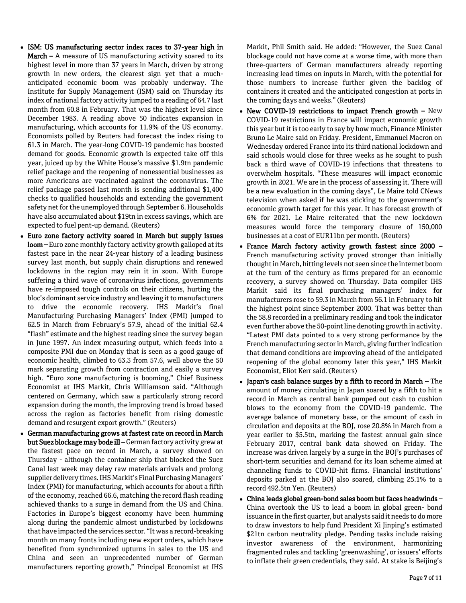- ISM: US manufacturing sector index races to 37-year high in **March –** A measure of US manufacturing activity soared to its highest level in more than 37 years in March, driven by strong growth in new orders, the clearest sign yet that a muchanticipated economic boom was probably underway. The Institute for Supply Management (ISM) said on Thursday its index of national factory activity jumped to a reading of 64.7 last month from 60.8 in February. That was the highest level since December 1983. A reading above 50 indicates expansion in manufacturing, which accounts for 11.9% of the US economy. Economists polled by Reuters had forecast the index rising to 61.3 in March. The year-long COVID-19 pandemic has boosted demand for goods. Economic growth is expected take off this year, juiced up by the White House's massive \$1.9tn pandemic relief package and the reopening of nonessential businesses as more Americans are vaccinated against the coronavirus. The relief package passed last month is sending additional \$1,400 checks to qualified households and extending the government safety net for the unemployed through September 6. Households have also accumulated about \$19tn in excess savings, which are expected to fuel pent-up demand. (Reuters)
- Euro zone factory activity soared in March but supply issues loom – Euro zone monthly factory activity growth galloped at its fastest pace in the near 24-year history of a leading business survey last month, but supply chain disruptions and renewed lockdowns in the region may rein it in soon. With Europe suffering a third wave of coronavirus infections, governments have re-imposed tough controls on their citizens, hurting the bloc's dominant service industry and leaving it to manufacturers to drive the economic recovery. IHS Markit's final Manufacturing Purchasing Managers' Index (PMI) jumped to 62.5 in March from February's 57.9, ahead of the initial 62.4 "flash" estimate and the highest reading since the survey began in June 1997. An index measuring output, which feeds into a composite PMI due on Monday that is seen as a good gauge of economic health, climbed to 63.3 from 57.6, well above the 50 mark separating growth from contraction and easily a survey high. "Euro zone manufacturing is booming," Chief Business Economist at IHS Markit, Chris Williamson said. "Although centered on Germany, which saw a particularly strong record expansion during the month, the improving trend is broad based across the region as factories benefit from rising domestic demand and resurgent export growth." (Reuters)
- German manufacturing grows at fastest rate on record in March but Suez blockage may bode ill – German factory activity grew at the fastest pace on record in March, a survey showed on Thursday - although the container ship that blocked the Suez Canal last week may delay raw materials arrivals and prolong supplier delivery times. IHS Markit's Final Purchasing Managers' Index (PMI) for manufacturing, which accounts for about a fifth of the economy, reached 66.6, matching the record flash reading achieved thanks to a surge in demand from the US and China. Factories in Europe's biggest economy have been humming along during the pandemic almost undisturbed by lockdowns that have impacted the services sector. "It was a record-breaking month on many fronts including new export orders, which have benefited from synchronized upturns in sales to the US and China and seen an unprecedented number of German manufacturers reporting growth," Principal Economist at IHS

Markit, Phil Smith said. He added: "However, the Suez Canal blockage could not have come at a worse time, with more than three-quarters of German manufacturers already reporting increasing lead times on inputs in March, with the potential for those numbers to increase further given the backlog of containers it created and the anticipated congestion at ports in the coming days and weeks." (Reuters)

- New COVID-19 restrictions to impact French growth New COVID-19 restrictions in France will impact economic growth this year but it is too early to say by how much, Finance Minister Bruno Le Maire said on Friday. President, Emmanuel Macron on Wednesday ordered France into its third national lockdown and said schools would close for three weeks as he sought to push back a third wave of COVID-19 infections that threatens to overwhelm hospitals. "These measures will impact economic growth in 2021. We are in the process of assessing it. There will be a new evaluation in the coming days", Le Maire told CNews television when asked if he was sticking to the government's economic growth target for this year. It has forecast growth of 6% for 2021. Le Maire reiterated that the new lockdown measures would force the temporary closure of 150,000 businesses at a cost of EUR11bn per month. (Reuters)
- France March factory activity growth fastest since 2000 French manufacturing activity proved stronger than initially thought in March, hitting levels not seen since the internet boom at the turn of the century as firms prepared for an economic recovery, a survey showed on Thursday. Data compiler IHS Markit said its final purchasing managers' index for manufacturers rose to 59.3 in March from 56.1 in February to hit the highest point since September 2000. That was better than the 58.8 recorded in a preliminary reading and took the indicator even further above the 50-point line denoting growth in activity. "Latest PMI data pointed to a very strong performance by the French manufacturing sector in March, giving further indication that demand conditions are improving ahead of the anticipated reopening of the global economy later this year," IHS Markit Economist, Eliot Kerr said. (Reuters)
- Japan's cash balance surges by a fifth to record in March The amount of money circulating in Japan soared by a fifth to hit a record in March as central bank pumped out cash to cushion blows to the economy from the COVID-19 pandemic. The average balance of monetary base, or the amount of cash in circulation and deposits at the BOJ, rose 20.8% in March from a year earlier to \$5.5tn, marking the fastest annual gain since February 2017, central bank data showed on Friday. The increase was driven largely by a surge in the BOJ's purchases of short-term securities and demand for its loan scheme aimed at channeling funds to COVID-hit firms. Financial institutions' deposits parked at the BOJ also soared, climbing 25.1% to a record 492.5tn Yen. (Reuters)
- China leads global green-bond sales boom but faces headwinds China overtook the US to lead a boom in global green- bond issuance in the first quarter, but analysts said it needs to do more to draw investors to help fund President Xi Jinping's estimated \$21tn carbon neutrality pledge. Pending tasks include raising investor awareness of the environment, harmonizing fragmented rules and tackling 'greenwashing', or issuers' efforts to inflate their green credentials, they said. At stake is Beijing's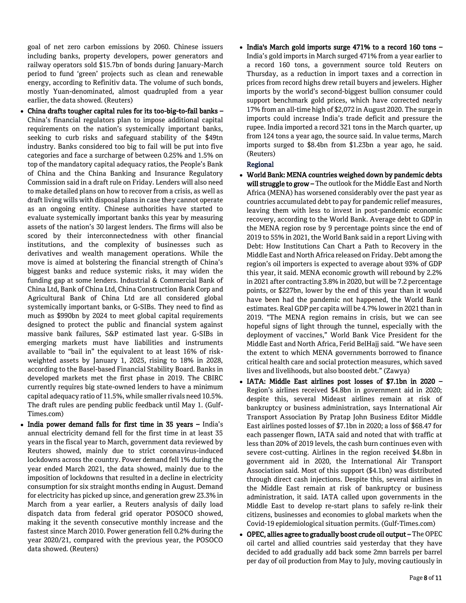goal of net zero carbon emissions by 2060. Chinese issuers including banks, property developers, power generators and railway operators sold \$15.7bn of bonds during January-March period to fund 'green' projects such as clean and renewable energy, according to Refinitiv data. The volume of such bonds, mostly Yuan-denominated, almost quadrupled from a year earlier, the data showed. (Reuters)

- China drafts tougher capital rules for its too-big-to-fail banks China's financial regulators plan to impose additional capital requirements on the nation's systemically important banks, seeking to curb risks and safeguard stability of the \$49tn industry. Banks considered too big to fail will be put into five categories and face a surcharge of between 0.25% and 1.5% on top of the mandatory capital adequacy ratios, the People's Bank of China and the China Banking and Insurance Regulatory Commission said in a draft rule on Friday. Lenders will also need to make detailed plans on how to recover from a crisis, as well as draft living wills with disposal plans in case they cannot operate as an ongoing entity. Chinese authorities have started to evaluate systemically important banks this year by measuring assets of the nation's 30 largest lenders. The firms will also be scored by their interconnectedness with other financial institutions, and the complexity of businesses such as derivatives and wealth management operations. While the move is aimed at bolstering the financial strength of China's biggest banks and reduce systemic risks, it may widen the funding gap at some lenders. Industrial & Commercial Bank of China Ltd, Bank of China Ltd, China Construction Bank Corp and Agricultural Bank of China Ltd are all considered global systemically important banks, or G-SIBs. They need to find as much as \$990bn by 2024 to meet global capital requirements designed to protect the public and financial system against massive bank failures, S&P estimated last year. G-SIBs in emerging markets must have liabilities and instruments available to "bail in" the equivalent to at least 16% of riskweighted assets by January 1, 2025, rising to 18% in 2028, according to the Basel-based Financial Stability Board. Banks in developed markets met the first phase in 2019. The CBIRC currently requires big state-owned lenders to have a minimum capital adequacy ratio of 11.5%, while smaller rivals need 10.5%. The draft rules are pending public feedback until May 1. (Gulf-Times.com)
- India power demand falls for first time in 35 years India's annual electricity demand fell for the first time in at least 35 years in the fiscal year to March, government data reviewed by Reuters showed, mainly due to strict coronavirus-induced lockdowns across the country. Power demand fell 1% during the year ended March 2021, the data showed, mainly due to the imposition of lockdowns that resulted in a decline in electricity consumption for six straight months ending in August. Demand for electricity has picked up since, and generation grew 23.3% in March from a year earlier, a Reuters analysis of daily load dispatch data from federal grid operator POSOCO showed, making it the seventh consecutive monthly increase and the fastest since March 2010. Power generation fell 0.2% during the year 2020/21, compared with the previous year, the POSOCO data showed. (Reuters)

 $\bullet$  India's March gold imports surge 471% to a record 160 tons -India's gold imports in March surged 471% from a year earlier to a record 160 tons, a government source told Reuters on Thursday, as a reduction in import taxes and a correction in prices from record highs drew retail buyers and jewelers. Higher imports by the world's second-biggest bullion consumer could support benchmark gold prices, which have corrected nearly 17% from an all-time high of \$2,072 in August 2020. The surge in imports could increase India's trade deficit and pressure the rupee. India imported a record 321 tons in the March quarter, up from 124 tons a year ago, the source said. In value terms, March imports surged to \$8.4bn from \$1.23bn a year ago, he said. (Reuters)

## Regional

- World Bank: MENA countries weighed down by pandemic debts will struggle to grow - The outlook for the Middle East and North Africa (MENA) has worsened considerably over the past year as countries accumulated debt to pay for pandemic relief measures, leaving them with less to invest in post-pandemic economic recovery, according to the World Bank. Average debt to GDP in the MENA region rose by 9 percentage points since the end of 2019 to 55% in 2021, the World Bank said in a report Living with Debt: How Institutions Can Chart a Path to Recovery in the Middle East and North Africa released on Friday. Debt among the region's oil importers is expected to average about 93% of GDP this year, it said. MENA economic growth will rebound by 2.2% in 2021 after contracting 3.8% in 2020, but will be 7.2 percentage points, or \$227bn, lower by the end of this year than it would have been had the pandemic not happened, the World Bank estimates. Real GDP per capita will be 4.7% lower in 2021 than in 2019. "The MENA region remains in crisis, but we can see hopeful signs of light through the tunnel, especially with the deployment of vaccines," World Bank Vice President for the Middle East and North Africa, Ferid BelHajj said. "We have seen the extent to which MENA governments borrowed to finance critical health care and social protection measures, which saved lives and livelihoods, but also boosted debt." (Zawya)
- IATA: Middle East airlines post losses of \$7.1bn in 2020 Region's airlines received \$4.8bn in government aid in 2020; despite this, several Mideast airlines remain at risk of bankruptcy or business administration, says International Air Transport Association By Pratap John Business Editor Middle East airlines posted losses of \$7.1bn in 2020; a loss of \$68.47 for each passenger flown, IATA said and noted that with traffic at less than 20% of 2019 levels, the cash burn continues even with severe cost-cutting. Airlines in the region received \$4.8bn in government aid in 2020, the International Air Transport Association said. Most of this support (\$4.1bn) was distributed through direct cash injections. Despite this, several airlines in the Middle East remain at risk of bankruptcy or business administration, it said. IATA called upon governments in the Middle East to develop re-start plans to safely re-link their citizens, businesses and economies to global markets when the Covid-19 epidemiological situation permits. (Gulf-Times.com)
- OPEC, allies agree to gradually boost crude oil output The OPEC oil cartel and allied countries said yesterday that they have decided to add gradually add back some 2mn barrels per barrel per day of oil production from May to July, moving cautiously in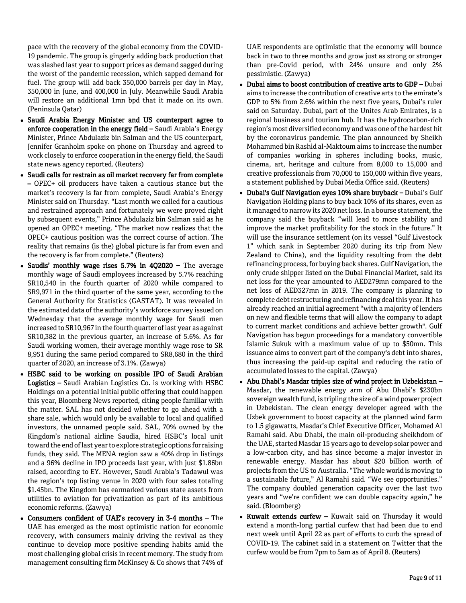pace with the recovery of the global economy from the COVID-19 pandemic. The group is gingerly adding back production that was slashed last year to support prices as demand sagged during the worst of the pandemic recession, which sapped demand for fuel. The group will add back 350,000 barrels per day in May, 350,000 in June, and 400,000 in July. Meanwhile Saudi Arabia will restore an additional 1mn bpd that it made on its own. (Peninsula Qatar)

- Saudi Arabia Energy Minister and US counterpart agree to enforce cooperation in the energy field - Saudi Arabia's Energy Minister, Prince Abdulaziz bin Salman and the US counterpart, Jennifer Granholm spoke on phone on Thursday and agreed to work closely to enforce cooperation in the energy field, the Saudi state news agency reported. (Reuters)
- Saudi calls for restrain as oil market recovery far from complete – OPEC+ oil producers have taken a cautious stance but the market's recovery is far from complete, Saudi Arabia's Energy Minister said on Thursday. "Last month we called for a cautious and restrained approach and fortunately we were proved right by subsequent events," Prince Abdulaziz bin Salman said as he opened an OPEC+ meeting. "The market now realizes that the OPEC+ cautious position was the correct course of action. The reality that remains (is the) global picture is far from even and the recovery is far from complete." (Reuters)
- Saudis' monthly wage rises 5.7% in 4Q2020 The average monthly wage of Saudi employees increased by 5.7% reaching SR10,540 in the fourth quarter of 2020 while compared to SR9,971 in the third quarter of the same year, according to the General Authority for Statistics (GASTAT). It was revealed in the estimated data of the authority's workforce survey issued on Wednesday that the average monthly wage for Saudi men increased to SR10,967 in the fourth quarter of last year as against SR10,382 in the previous quarter, an increase of 5.6%. As for Saudi working women, their average monthly wage rose to SR 8,951 during the same period compared to SR8,680 in the third quarter of 2020, an increase of 3.1%. (Zawya)
- HSBC said to be working on possible IPO of Saudi Arabian Logistics – Saudi Arabian Logistics Co. is working with HSBC Holdings on a potential initial public offering that could happen this year, Bloomberg News reported, citing people familiar with the matter. SAL has not decided whether to go ahead with a share sale, which would only be available to local and qualified investors, the unnamed people said. SAL, 70% owned by the Kingdom's national airline Saudia, hired HSBC's local unit toward the end of last year to explore strategic options for raising funds, they said. The MENA region saw a 40% drop in listings and a 96% decline in IPO proceeds last year, with just \$1.86bn raised, according to EY. However, Saudi Arabia's Tadawul was the region's top listing venue in 2020 with four sales totaling \$1.45bn. The Kingdom has earmarked various state assets from utilities to aviation for privatization as part of its ambitious economic reforms. (Zawya)
- Consumers confident of UAE's recovery in 3-4 months The UAE has emerged as the most optimistic nation for economic recovery, with consumers mainly driving the revival as they continue to develop more positive spending habits amid the most challenging global crisis in recent memory. The study from management consulting firm McKinsey & Co shows that 74% of

UAE respondents are optimistic that the economy will bounce back in two to three months and grow just as strong or stronger than pre-Covid period, with 24% unsure and only 2% pessimistic. (Zawya)

- Dubai aims to boost contribution of creative arts to GDP Dubai aims to increase the contribution of creative arts to the emirate's GDP to 5% from 2.6% within the next five years, Dubai's ruler said on Saturday. Dubai, part of the Unites Arab Emirates, is a regional business and tourism hub. It has the hydrocarbon-rich region's most diversified economy and was one of the hardest hit by the coronavirus pandemic. The plan announced by Sheikh Mohammed bin Rashid al-Maktoum aims to increase the number of companies working in spheres including books, music, cinema, art, heritage and culture from 8,000 to 15,000 and creative professionals from 70,000 to 150,000 within five years, a statement published by Dubai Media Office said. (Reuters)
- Dubai's Gulf Navigation eyes 10% share buyback Dubai's Gulf Navigation Holding plans to buy back 10% of its shares, even as it managed to narrow its 2020 net loss. In a bourse statement, the company said the buyback "will lead to more stability and improve the market profitability for the stock in the future." It will use the insurance settlement (on its vessel "Gulf Livestock 1" which sank in September 2020 during its trip from New Zealand to China), and the liquidity resulting from the debt refinancing process, for buying back shares. Gulf Navigation, the only crude shipper listed on the Dubai Financial Market, said its net loss for the year amounted to AED279mn compared to the net loss of AED327mn in 2019. The company is planning to complete debt restructuring and refinancing deal this year. It has already reached an initial agreement "with a majority of lenders on new and flexible terms that will allow the company to adapt to current market conditions and achieve better growth". Gulf Navigation has begun proceedings for a mandatory convertible Islamic Sukuk with a maximum value of up to \$50mn. This issuance aims to convert part of the company's debt into shares, thus increasing the paid-up capital and reducing the ratio of accumulated losses to the capital. (Zawya)
- Abu Dhabi's Masdar triples size of wind project in Uzbekistan Masdar, the renewable energy arm of Abu Dhabi's \$230bn sovereign wealth fund, is tripling the size of a wind power project in Uzbekistan. The clean energy developer agreed with the Uzbek government to boost capacity at the planned wind farm to 1.5 gigawatts, Masdar's Chief Executive Officer, Mohamed Al Ramahi said. Abu Dhabi, the main oil-producing sheikhdom of the UAE, started Masdar 15 years ago to develop solar power and a low-carbon city, and has since become a major investor in renewable energy. Masdar has about \$20 billion worth of projects from the US to Australia. "The whole world is moving to a sustainable future," Al Ramahi said. "We see opportunities." The company doubled generation capacity over the last two years and "we're confident we can double capacity again," he said. (Bloomberg)
- Kuwait extends curfew Kuwait said on Thursday it would extend a month-long partial curfew that had been due to end next week until April 22 as part of efforts to curb the spread of COVID-19. The cabinet said in a statement on Twitter that the curfew would be from 7pm to 5am as of April 8. (Reuters)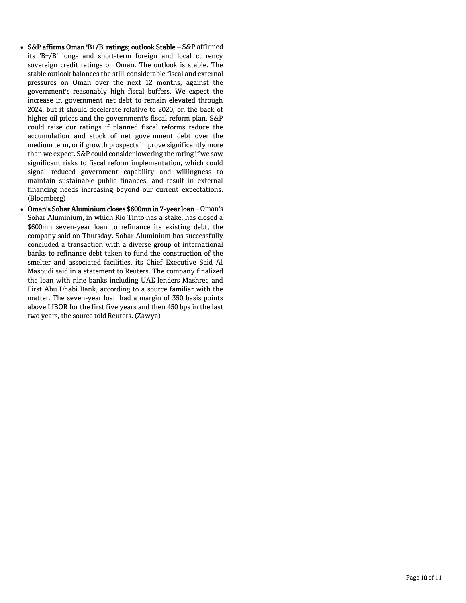- S&P affirms Oman 'B+/B' ratings; outlook Stable S&P affirmed its 'B+/B' long- and short-term foreign and local currency sovereign credit ratings on Oman. The outlook is stable. The stable outlook balances the still-considerable fiscal and external pressures on Oman over the next 12 months, against the government's reasonably high fiscal buffers. We expect the increase in government net debt to remain elevated through 2024, but it should decelerate relative to 2020, on the back of higher oil prices and the government's fiscal reform plan. S&P could raise our ratings if planned fiscal reforms reduce the accumulation and stock of net government debt over the medium term, or if growth prospects improve significantly more than we expect. S&P could consider lowering the rating if we saw significant risks to fiscal reform implementation, which could signal reduced government capability and willingness to maintain sustainable public finances, and result in external financing needs increasing beyond our current expectations. (Bloomberg)
- Oman's Sohar Aluminium closes \$600mn in 7-year loan Oman's Sohar Aluminium, in which Rio Tinto has a stake, has closed a \$600mn seven-year loan to refinance its existing debt, the company said on Thursday. Sohar Aluminium has successfully concluded a transaction with a diverse group of international banks to refinance debt taken to fund the construction of the smelter and associated facilities, its Chief Executive Said Al Masoudi said in a statement to Reuters. The company finalized the loan with nine banks including UAE lenders Mashreq and First Abu Dhabi Bank, according to a source familiar with the matter. The seven-year loan had a margin of 350 basis points above LIBOR for the first five years and then 450 bps in the last two years, the source told Reuters. (Zawya)